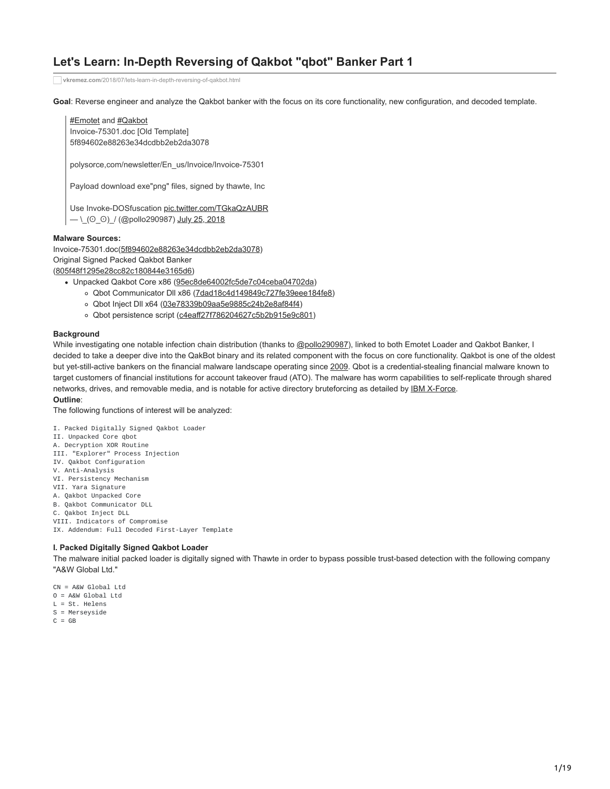# **Let's Learn: In-Depth Reversing of Qakbot "qbot" Banker Part 1**

**vkremez.com**[/2018/07/lets-learn-in-depth-reversing-of-qakbot.html](https://www.vkremez.com/2018/07/lets-learn-in-depth-reversing-of-qakbot.html)

**Goal**: Reverse engineer and analyze the Qakbot banker with the focus on its core functionality, new configuration, and decoded template.

[#Emotet](https://twitter.com/hashtag/Emotet?src=hash&ref_src=twsrc%5Etfw) and [#Qakbot](https://twitter.com/hashtag/Qakbot?src=hash&ref_src=twsrc%5Etfw) Invoice-75301.doc [Old Template]

5f894602e88263e34dcdbb2eb2da3078

polysorce,com/newsletter/En\_us/Invoice/Invoice-75301

Payload download exe"png" files, signed by thawte, Inc

Use Invoke-DOSfuscation [pic.twitter.com/TGkaQzAUBR](https://t.co/TGkaQzAUBR)  $- \left( 0.0 \right)$  / (@pollo290987) [July 25, 2018](https://twitter.com/pollo290987/status/1022032049308356613?ref_src=twsrc%5Etfw)

## **Malware Sources:**

Invoice-75301.doc([5f894602e88263e34dcdbb2eb2da3078](https://www.virustotal.com/#/file/2356c0cbe09585e025c3fdfae9a004c20f3f4d9d0ff4a89d5add85974f0afade/detection)) Original Signed Packed Qakbot Banker ([805f48f1295e28cc82c180844e3165d6](https://www.virustotal.com/#/file/f67c8c39e97077ad941f5866a5be1d1a9e6ea4b7762d9795eedc8648a587076a/detection))

- Unpacked Qakbot Core x86 ([95ec8de64002fc5de7c04ceba04702da](https://www.virustotal.com/#/file/df9e6ea773a3f6bc39ecfec8ee39895ba2adacd376571c4301e2702f45675093/detection))
	- o Qbot Communicator Dll x86 [\(7dad18c4d149849c727fe39eee184fe8](https://www.virustotal.com/#/file/295a17a0614c52df48ccaa8ad3ec81026e0b2c5c6696561b8cea7b0342fef38d/detection))
	- o Qbot Inject Dll x64 ([03e78339b09aa5e9885c24b2e8af84f4](http://0c3a5f5c2e98a704358378498b27e7ba9128ab48488007a7829b56c6c9a97fcf/))
	- o Qbot persistence script ([c4eaff27f786204627c5b2b915e9c801](https://www.virustotal.com/#/file/cd21cfa56b491dfe3ad6ccf20bccc498a837880862334d9dbe7891b9c0b8acba/detection))

## **Background**

While investigating one notable infection chain distribution (thanks to [@pollo290987\)](https://twitter.com/pollo290987), linked to both Emotet Loader and Qakbot Banker, I decided to take a deeper dive into the QakBot binary and its related component with the focus on core functionality. Qakbot is one of the oldest but yet-still-active bankers on the financial malware landscape operating since [2009.](https://www.symantec.com/content/dam/symantec/docs/security-center/white-papers/w32-qakbot-in-detail-11-en.pdf) Qbot is a credential-stealing financial malware known to target customers of financial institutions for account takeover fraud (ATO). The malware has worm capabilities to self-replicate through shared networks, drives, and removable media, and is notable for active directory bruteforcing as detailed by **IBM X-Force**.

#### **Outline**:

The following functions of interest will be analyzed:

I. Packed Digitally Signed Qakbot Loader

- II. Unpacked Core qbot
- A. Decryption XOR Routine
- III. "Explorer" Process Injection
- IV. Qakbot Configuration
- V. Anti-Analysis
- VI. Persistency Mechanism
- VII. Yara Signature
- A. Qakbot Unpacked Core
- B. Qakbot Communicator DLL C. Qakbot Inject DLL
- VIII. Indicators of Compromise
- IX. Addendum: Full Decoded First-Layer Template

## **I. Packed Digitally Signed Qakbot Loader**

The malware initial packed loader is digitally signed with Thawte in order to bypass possible trust-based detection with the following company "A&W Global Ltd."

- CN = A&W Global Ltd
- $0 = A$ &W Global Ltd
- L = St. Helens
- S = Merseyside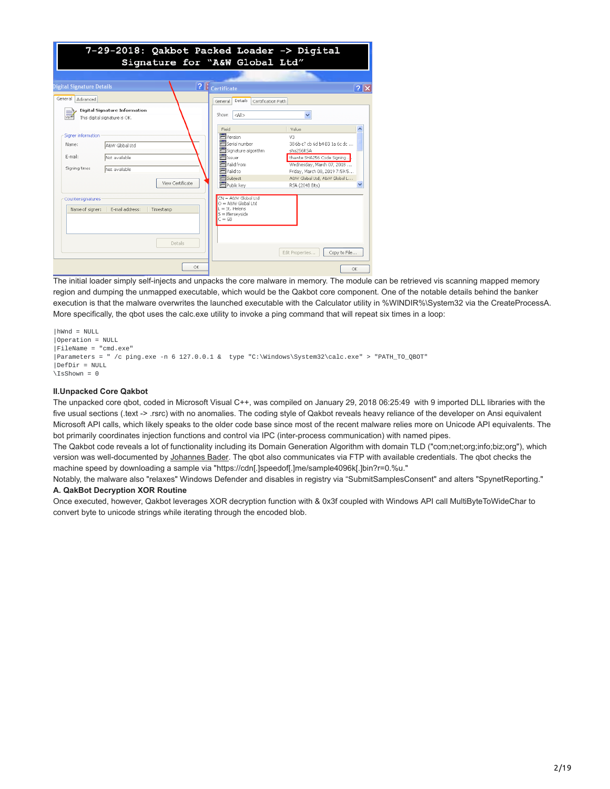| 7-29-2018: Qakbot Packed Loader -> Digital<br>Signature for "A&W Global Ltd"                                                                                     |                                                                                                                                                                                                                                                                                                                                                        |  |  |  |  |  |  |
|------------------------------------------------------------------------------------------------------------------------------------------------------------------|--------------------------------------------------------------------------------------------------------------------------------------------------------------------------------------------------------------------------------------------------------------------------------------------------------------------------------------------------------|--|--|--|--|--|--|
| Digital Signature Details                                                                                                                                        | ? Certificate<br> ? X                                                                                                                                                                                                                                                                                                                                  |  |  |  |  |  |  |
| General<br>Advanced<br>Digital Signature Information                                                                                                             | Details<br>Certification Path<br>General<br>Show:<br>$<$ AI $>$                                                                                                                                                                                                                                                                                        |  |  |  |  |  |  |
| This digital signature is OK.<br>Signer information<br>Name:<br>A&W Global Ltd<br>E-mail:<br>Not available<br>Signing time:<br>Not available<br>View Certificate | Field<br>Value<br>Wersion<br>V3<br>Serial number<br>38 6b c7 cb 6d b4 03 1a 6c dc<br>Signature algorithm<br>sha256R5A<br>■ <sub>Issuer</sub><br>thawte SHA256 Code Signing<br>Wald from<br>Wednesday, March 07, 2018<br><b>El</b> Vald to<br>Friday, March 08, 2019 7:59:5<br>Subject<br>A&W Global Ltd. A&W Global L<br>Public key<br>RSA (2048 Bits) |  |  |  |  |  |  |
| Countersignatures<br>Name of signer:<br>E-mail address:<br>Timestamp                                                                                             | CN = A&W Global Ltd<br>O = A&W Global Ltd<br>= St. Helens<br>$S =$ Merseyside<br>$C = GB$                                                                                                                                                                                                                                                              |  |  |  |  |  |  |
| Debails<br>OK                                                                                                                                                    | Edit Properties<br>Copy to File<br>OK                                                                                                                                                                                                                                                                                                                  |  |  |  |  |  |  |

The initial loader simply self-injects and unpacks the core malware in memory. The module can be retrieved vis scanning mapped memory region and dumping the unmapped executable, which would be the Qakbot core component. One of the notable details behind the banker execution is that the malware overwrites the launched executable with the Calculator utility in %WINDIR%\System32 via the CreateProcessA. More specifically, the qbot uses the calc.exe utility to invoke a ping command that will repeat six times in a loop:

```
|hWnd = NULL
|Operation = NULL
|FileName = "cmd.exe"
|Parameters = " /c ping.exe -n 6 127.0.0.1 & type "C:\Windows\System32\calc.exe" > "PATH_TO_QBOT"
|DefDir = NULL
\overline{\S} IsShown = 0
```
## **II.Unpacked Core Qakbot**

The unpacked core qbot, coded in Microsoft Visual C++, was compiled on January 29, 2018 06:25:49 with 9 imported DLL libraries with the five usual sections (.text -> .rsrc) with no anomalies. The coding style of Qakbot reveals heavy reliance of the developer on Ansi equivalent Microsoft API calls, which likely speaks to the older code base since most of the recent malware relies more on Unicode API equivalents. The bot primarily coordinates injection functions and control via IPC (inter-process communication) with named pipes.

The Qakbot code reveals a lot of functionality including its Domain Generation Algorithm with domain TLD ("com;net;org;info;biz;org"), which version was well-documented by [Johannes Bader.](https://www.johannesbader.ch/2016/02/the-dga-of-qakbot/) The qbot also communicates via FTP with available credentials. The qbot checks the machine speed by downloading a sample via "https://cdn[.]speedof[.]me/sample4096k[.]bin?r=0.%u."

Notably, the malware also "relaxes" Windows Defender and disables in registry via "SubmitSamplesConsent" and alters "SpynetReporting." **A. QakBot Decryption XOR Routine** 

Once executed, however, Qakbot leverages XOR decryption function with & 0x3f coupled with Windows API call MultiByteToWideChar to convert byte to unicode strings while iterating through the encoded blob.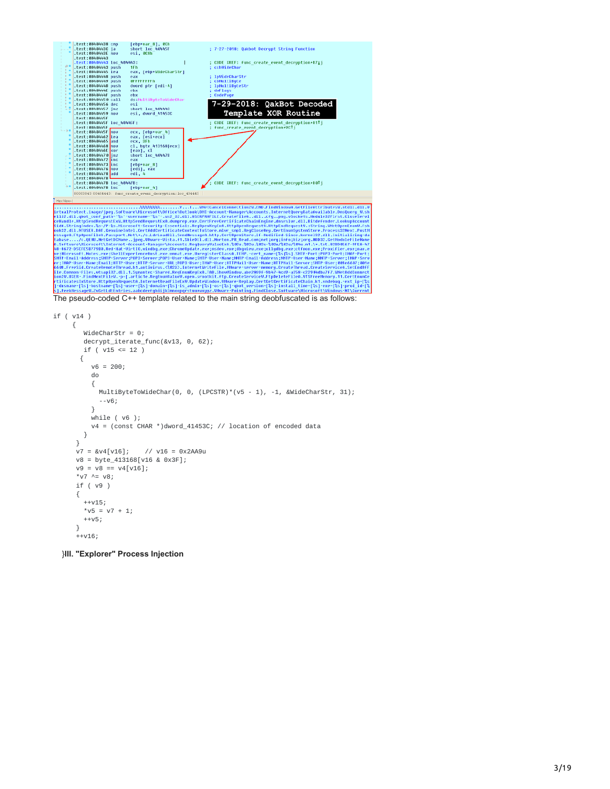

```
if ( v14 )
    {
       WideCharStr = 0;
       decrypt_iterate_func(&v13, 0, 62);
       if (v15 \le 12)
      {
         v6 = 200:
         do
         {
           MultiByteToWideChar(0, 0, (LPCSTR)*(v5 - 1), -1, &WideCharStr, 31);
           --v6;
         }
         while ( v6 );
         v4 = (const CHAR *)dword_41453C; // location of encoded data
       }
     }
     v7 = 8v4[v16]; // v16 = 0x2AA9u
     v8 = byte_413168[v16 & 0x3F];
     v9 = v8 = v4[v16];*v7 ^{\wedge} = v8;
     if ( v9 )
     {
       ++v15;*v5 = v7 + 1;
       ++v5;
     }
     ++v16;
```
}**III. "Explorer" Process Injection**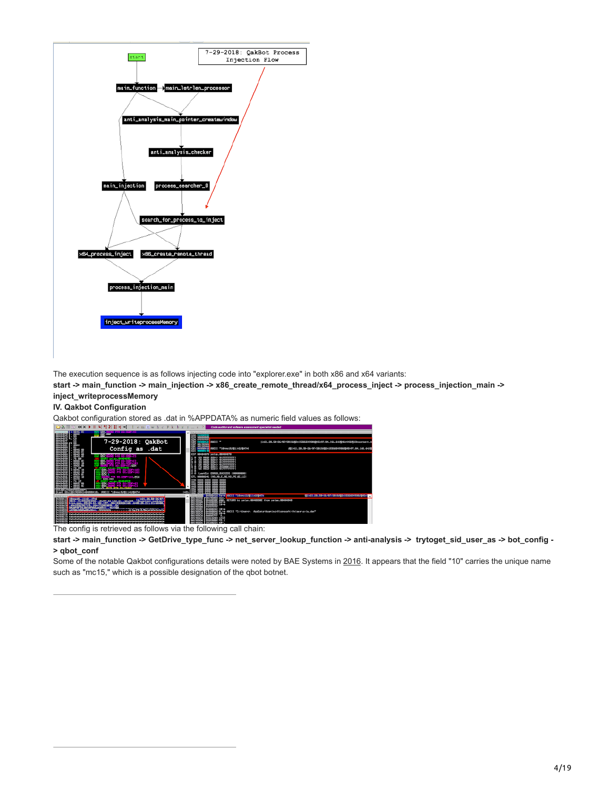

The execution sequence is as follows injecting code into "explorer.exe" in both x86 and x64 variants:

**start -> main\_function -> main\_injection -> x86\_create\_remote\_thread/x64\_process\_inject -> process\_injection\_main -> inject\_writeprocessMemory** 

## **IV. Qakbot Configuration**

Qakbot configuration stored as .dat in %APPDATA% as numeric field values as follows:<br>Ball WARE IN HER HER LETTER IN THE RESERVED OF A BALL CONTINUUS CONTINUUS



The config is retrieved as follows via the following call chain:

**start -> main\_function -> GetDrive\_type\_func -> net\_server\_lookup\_function -> anti-analysis -> trytoget\_sid\_user\_as -> bot\_config - > qbot\_conf**

Some of the notable Qakbot configurations details were noted by BAE Systems in [2016](https://www.baesystems.com/en/cybersecurity/article/technical-experts-at-bae-systems-reveal-details-of-new-strain-of-virulent-cyber-threat). It appears that the field "10" carries the unique name such as "mc15," which is a possible designation of the qbot botnet.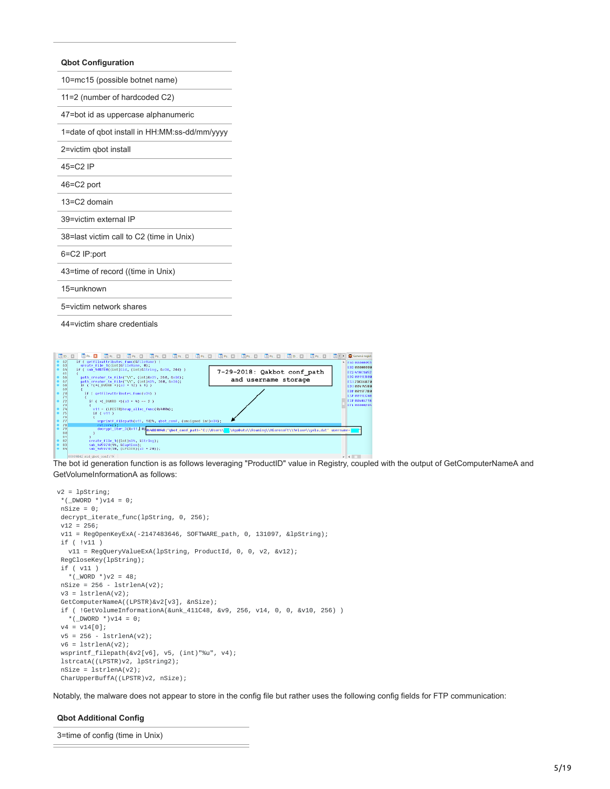#### **Qbot Configuration**

| 10=mc15 (possible botnet name)                |  |  |  |  |
|-----------------------------------------------|--|--|--|--|
| 11=2 (number of hardcoded C2)                 |  |  |  |  |
| 47=bot id as uppercase alphanumeric           |  |  |  |  |
| 1=date of qbot install in HH:MM:ss-dd/mm/yyyy |  |  |  |  |
| 2=victim gbot install                         |  |  |  |  |
| $45 = C$ $2$ IP                               |  |  |  |  |
| 46=C2 port                                    |  |  |  |  |
| 13=C2 domain                                  |  |  |  |  |
| 39=victim external IP                         |  |  |  |  |
| 38=last victim call to C2 (time in Unix)      |  |  |  |  |
| 6=C2 IP:port                                  |  |  |  |  |
| 43=time of record ((time in Unix)             |  |  |  |  |
| $15 =$ unknown                                |  |  |  |  |
| 5=victim network shares                       |  |  |  |  |
|                                               |  |  |  |  |

44=victim share credentials



The bot id generation function is as follows leveraging "ProductID" value in Registry, coupled with the output of GetComputerNameA and GetVolumeInformationA as follows:

```
v2 = lpString;
 *(_DWORD *)v14 = 0;
nsize = 0:
decrypt_iterate_func(lpString, 0, 256);
v12 = 256;v11 = RegOpenKeyExA(-2147483646, SOFTWARE_path, 0, 131097, &lpString);
if ( !v11 )
  v11 = RegQueryValueExA(lpString, ProductId, 0, 0, v2, &v12);
 RegCloseKey(lpString);
 if ( v11 )
  *(_WORD *)v2 = 48;
nSize = 256 - IstrlenA(v2);v3 = 1strlenA(v2);
GetComputerNameA((LPSTR)&v2[v3], &nSize);
if ( !GetVolumeInformationA(&unk_411C48, &v9, 256, v14, 0, 0, &v10, 256) )
  *(_DWORD *)v14 = 0;
v4 = v14[0];
 v5 = 256 - lstrlenA(v2);
 v6 = 1strlenA(v2);
wsprintf_filepath(&v2[v6], v5, (int)"%u", v4);
 lstrcatA((LPSTR)v2, lpString2);
 nSize = lstrlenA(v2);
CharUpperBuffA((LPSTR)v2, nSize);
```
Notably, the malware does not appear to store in the config file but rather uses the following config fields for FTP communication:

## **Qbot Additional Config**

3=time of config (time in Unix)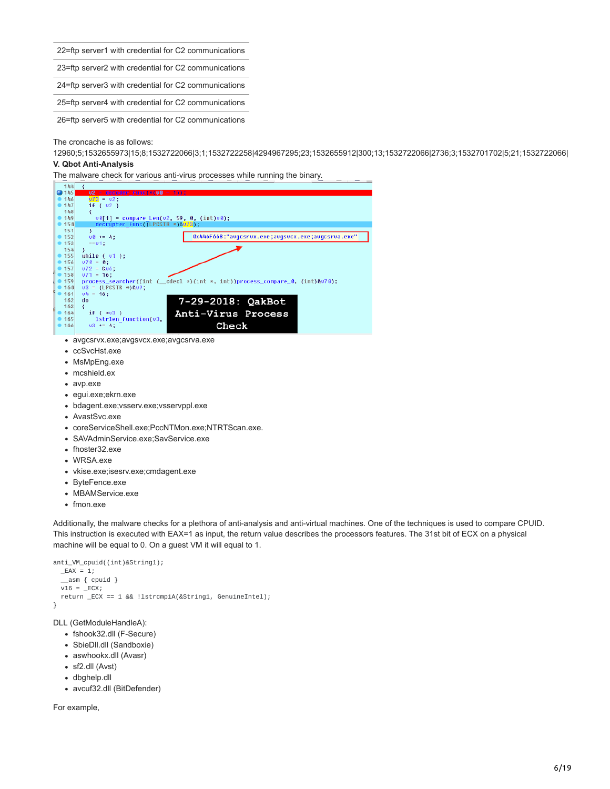22=ftp server1 with credential for C2 communications

23=ftp server2 with credential for C2 communications

24=ftp server3 with credential for C2 communications

25=ftp server4 with credential for C2 communications

26=ftp server5 with credential for C2 communications

The croncache is as follows:

12960;5;1532655973|15;8;1532722066|3;1;1532722258|4294967295;23;1532655912|300;13;1532722066|2736;3;1532701702|5;21;1532722066| **V. Qbot Anti-Analysis**

The malware check for various anti-virus processes while running the binary.



- avgcsrvx.exe;avgsvcx.exe;avgcsrva.exe
- ccSvcHst.exe
- MsMpEng.exe
- mcshield.ex
- avp.exe
- egui.exe;ekrn.exe
- bdagent.exe;vsserv.exe;vsservppl.exe
- AvastSvc.exe
- coreServiceShell.exe;PccNTMon.exe;NTRTScan.exe.
- SAVAdminService.exe;SavService.exe
- fhoster32.exe
- WRSA.exe
- vkise.exe;isesrv.exe;cmdagent.exe
- ByteFence.exe
- MBAMService.exe
- fmon.exe

Additionally, the malware checks for a plethora of anti-analysis and anti-virtual machines. One of the techniques is used to compare CPUID. This instruction is executed with EAX=1 as input, the return value describes the processors features. The 31st bit of ECX on a physical machine will be equal to 0. On a guest VM it will equal to 1.

```
anti_VM_cpuid((int)&String1);
 -EAX = 1;
   \_\{asm} \{ \text{cpuid } \}
  v16 = ECX;
  return _ECX == 1 && !lstrcmpiA(&String1, GenuineIntel);
}
```
DLL (GetModuleHandleA):

- fshook32.dll (F-Secure)
- SbieDII.dll (Sandboxie)
- aswhookx.dll (Avasr)
- sf2.dll (Avst)
- dbghelp.dll
- avcuf32.dll (BitDefender)

For example,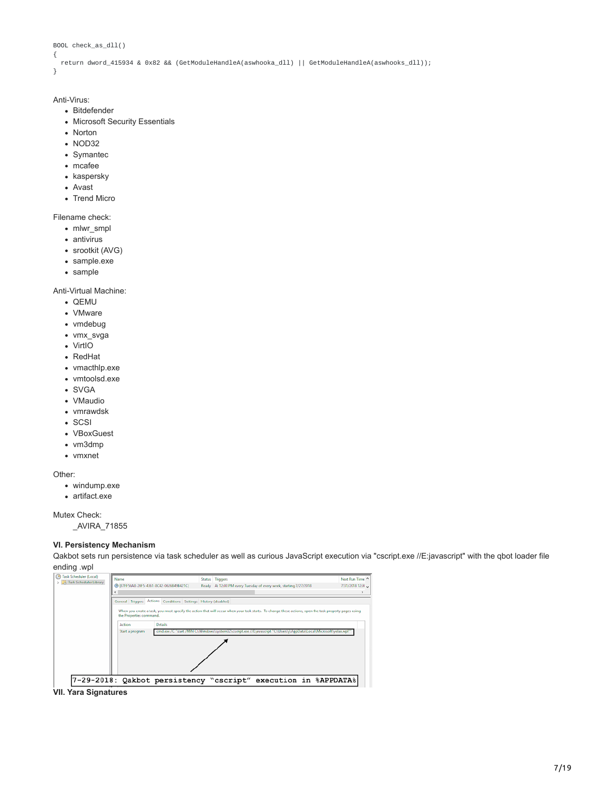```
BOOL check_as_dll()
{
```

```
return dword_415934 & 0x82 && (GetModuleHandleA(aswhooka_dll) || GetModuleHandleA(aswhooks_dll));
```
}

## Anti-Virus:

- Bitdefender
- Microsoft Security Essentials
- Norton
- NOD32
- Symantec
- mcafee
- kaspersky
- Avast
- Trend Micro

Filename check:

- mlwr\_smpl
- antivirus
- srootkit (AVG)
- sample.exe
- sample

Anti-Virtual Machine:

- QEMU
- VMware
- vmdebug
- vmx\_svga
- VirtIO
- RedHat
- vmacthlp.exe
- vmtoolsd.exe
- SVGA
- VMaudio
- vmrawdsk
- SCSI
- VBoxGuest
- vm3dmp
- vmxnet

Other:

- windump.exe
- artifact.exe

Mutex Check:

\_AVIRA\_71855

## **VI. Persistency Mechanism**

Qakbot sets run persistence via task scheduler as well as curious JavaScript execution via "cscript.exe //E:javascript" with the qbot loader file ending .wpl

| 7 Task Scheduler (Local)<br>Task Scheduler Library | Name<br>3 (87FF50A8-20F5-4361-8C42-0626B49B421C)<br>€                                                                                                                                                                                                                                                                                                                                                                       |  |  | Status Triggers<br>Ready At 12:00 PM every Tuesday of every week, starting 7/27/2018 | Next Run Time ^<br>7/31/2018 12:00<br>$\rightarrow$ |  |
|----------------------------------------------------|-----------------------------------------------------------------------------------------------------------------------------------------------------------------------------------------------------------------------------------------------------------------------------------------------------------------------------------------------------------------------------------------------------------------------------|--|--|--------------------------------------------------------------------------------------|-----------------------------------------------------|--|
|                                                    | General Triggers Actions Conditions Settings History (disabled)<br>When you create a task, you must specify the action that will occur when your task starts. To change these actions, open the task property pages using<br>the Properties command.<br><b>Details</b><br>Action<br>cmd.exe /C "start /MIN C:\Windows\system32\cscript.exe //Ejavascript "C:\Users\j\AppData\Local\Microsoft\yelax.wpl""<br>Start a program |  |  |                                                                                      |                                                     |  |
|                                                    |                                                                                                                                                                                                                                                                                                                                                                                                                             |  |  |                                                                                      |                                                     |  |
|                                                    |                                                                                                                                                                                                                                                                                                                                                                                                                             |  |  | 7-29-2018: Qakbot persistency "cscript" execution in %APPDATA%                       |                                                     |  |

**VII. Yara Signatures**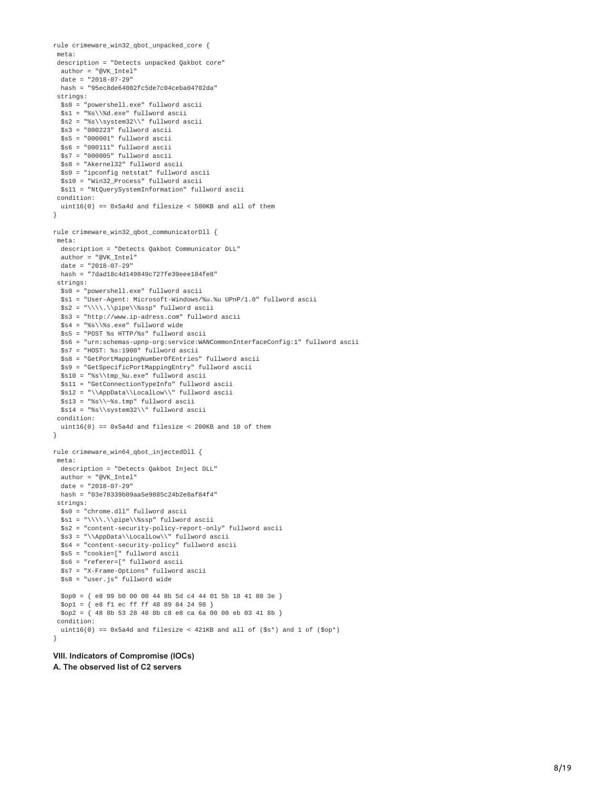```
rule crimeware_win32_qbot_unpacked_core {
 meta:
 description = "Detects unpacked Qakbot core"
 author = "@VK_Intel"
  date = "2018-07-29"
 hash = "95ec8de64002fc5de7c04ceba04702da"
 strings:
 $s0 = "powershell.exe" fullword ascii
 $s1 = "%s\\%d.exe" fullword ascii
 $s2 = "%s\\system32\\" fullword ascii
 $s3 = "000223" fullword ascii
  $s5 = "000001" fullword ascii
  $s6 = "000111" fullword ascii
 $s7 = "000005" fullword ascii
  $s8 = "Akernel32" fullword ascii
 $s9 = "ipconfig netstat" fullword ascii
  $s10 = "Win32_Process" fullword ascii
 $s11 = "NtQuerySystemInformation" fullword ascii
 condition:
 uint16(0) == 0x5a4d and filesize < 500KB and all of them
}
rule crimeware_win32_qbot_communicatorDll {
meta:
  description = "Detects Qakbot Communicator DLL"
  author = "@VK_Intel"
 date = "2018-07-29"
 hash = "7dad18c4d149849c727fe39eee184fe8"
 strings:
 $s0 = "powershell.exe" fullword ascii
  $s1 = "User-Agent: Microsoft-Windows/%u.%u UPnP/1.0" fullword ascii
 $s2 = "\\\\.\\pipe\\%ssp" fullword ascii
 $s3 = "http://www.ip-adress.com" fullword ascii
 $s4 = "%s\\%s.exe" fullword wide
 $s5 = "POST %s HTTP/%s" fullword ascii
  $s6 = "urn:schemas-upnp-org:service:WANCommonInterfaceConfig:1" fullword ascii
 $s7 = "HOST: %s:1900" fullword ascii
  $s8 = "GetPortMappingNumberOfEntries" fullword ascii
  $s9 = "GetSpecificPortMappingEntry" fullword ascii
  $s10 = "%s\\tmp_%u.exe" fullword ascii
  $s11 = "GetConnectionTypeInfo" fullword ascii
 $s12 = "\\AppData\\LocalLow\\" fullword ascii
  $s13 = "%s\\~%s.tmp" fullword ascii
 $s14 = "%s\\system32\\" fullword ascii
 condition:
 uint16(0) == 0 \times 5a4d and filesize < 200KB and 10 of them
}
rule crimeware_win64_qbot_injectedDll {
meta:
  description = "Detects Qakbot Inject DLL"
  author = "@VK Tntel"date = "2018-07-29"hash = "03e78339b09aa5e9885c24b2e8af84f4"
 strings:
 $s0 = "chrome.dll" fullword ascii
  $s1 = "\\\\.\\pipe\\%ssp" fullword ascii
  $s2 = "content-security-policy-report-only" fullword ascii
  $s3 = "\\AppData\\LocalLow\\" fullword ascii
 $s4 = "content-security-policy" fullword ascii
  $s5 = "cookie=[" fullword ascii
  $s6 = "referer=[" fullword ascii
  $s7 = "X-Frame-Options" fullword ascii
 $s8 = "user.js" fullword wide
  $op0 = { e8 99 b0 00 00 44 8b 5d c4 44 01 5b 18 41 80 3e }
  $op1 = { e8 f1 ec ff ff 48 89 84 24 98 }
  $op2 = { 48 8b 53 28 48 8b c8 e8 ca 6a 00 00 eb 03 41 8b }condition:
  uint16(0) == 0 \times 5a4d and filesize < 421KB and all of ($s<sup>*</sup>) and 1 of ($op<sup>*</sup>)}
```
## **VIII. Indicators of Compromise (IOCs)**

**A. The observed list of C2 servers**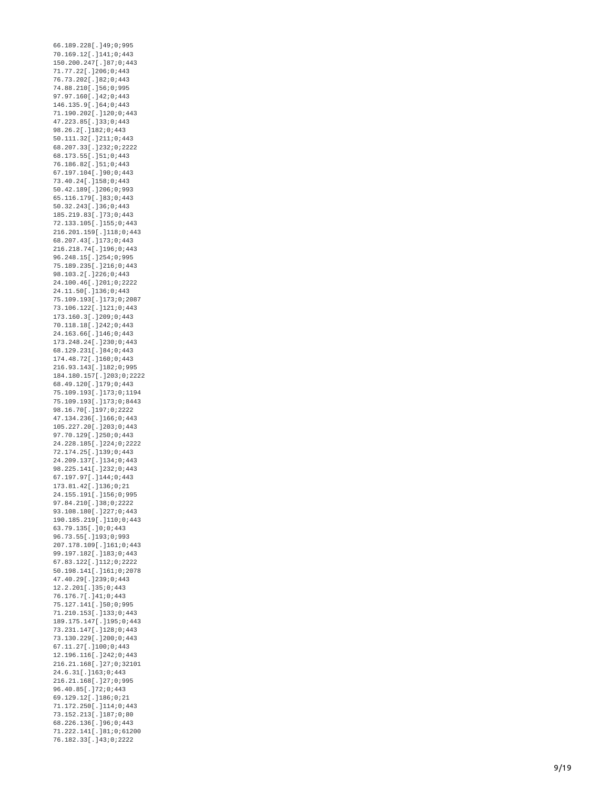6 6.1 8 9.2 2 8 [.] 4 9 ; 0 ; 9 9 5 70.169.12[.]141;0;443 150.200.247[.]87;0;443 7 1.7 7.2 2 [.] 2 0 6 ; 0 ; 4 4 3 76.73.202[.]82;0;443 7 4.8 8.2 1 0 [.] 5 6 ; 0 ; 9 9 5 97.97.160[.]42;0;443 1 4 6.1 3 5.9 [.] 6 4 ; 0 ; 4 4 3 71.190.202[.]120;0;443 4 7.2 2 3.8 5 [.] 3 3 ; 0 ; 4 4 3 98.26.2[.]182;0;443 50.111.32[.]211;0;443 68.207.33[.]232;0;2222 6 8.1 7 3.5 5 [.] 5 1 ; 0 ; 4 4 3 7 6.1 8 6.8 2 [.] 5 1 ; 0 ; 4 4 3 67.197.104[.]90;0;443 7 3.4 0.2 4 [.] 1 5 8 ; 0 ; 4 4 3 50.42.189[.]206;0;993 6 5.1 1 6.1 7 9 [.] 8 3 ; 0 ; 4 4 3 50.32.243[.]36;0;443 1 8 5.2 1 9.8 3 [.] 7 3 ; 0 ; 4 4 3 7 2.1 3 3.1 0 5 [.] 1 5 5 ; 0 ; 4 4 3 216.201.159[.]118;0;443 68.207.43[.]173;0;443 216.218.74[.]196;0;443 9 6.2 4 8.1 5 [.] 2 5 4 ; 0 ; 9 9 5 7 5.1 8 9.2 3 5 [.] 2 1 6 ; 0 ; 4 4 3 9 8.1 0 3.2 [.] 2 2 6 ; 0 ; 4 4 3 24.100.46[.]201;0;2222 24.11.50[.]136;0;443 75.109.193[.]173;0;2087 73.106.122[.]121;0;443 173.160.3[.]209;0;443 70.118.18[.]242;0;443 24.163.66[.]146;0;443 173.248.24[.]230;0;443 6 8.1 2 9.2 3 1 [.] 8 4 ; 0 ; 4 4 3 1 7 4.4 8.7 2 [.] 1 6 0 ; 0 ; 4 4 3 216.93.143[.]182;0;995 184.180.157[.]203;0;2222 6 8.4 9.1 2 0 [.] 1 7 9 ; 0 ; 4 4 3 75.109.193[.]173;0;1194 75.109.193[.]173;0;8443 98.16.70[.]197;0;2222 47.134.236[.]166;0;443 105.227.20[.]203;0;443 97.70.129[.]250;0;443 24.228.185[.]224;0;2222 7 2.1 7 4.2 5 [.] 1 3 9 ; 0 ; 4 4 3 24.209.137[.]134;0;443 98.225.141[.]232;0;443 67.197.97[.]144;0;443 1 7 3.8 1.4 2 [.] 1 3 6 ; 0 ; 2 1 24.155.191[.]156;0;995 97.84.210[.]38;0;2222 93.108.180[.]227;0;443 190.185.219[.]110;0;443 63.79.135[.]0;0;443 9 6.7 3.5 5 [.] 1 9 3 ; 0 ; 9 9 3 207.178.109[.]161;0;443 99.197.182[.]183;0;443 67.83.122[.]112;0;2222 50.198.141[.]161;0;2078 47.40.29[.]239;0;443 12.2.201[.]35;0;443 76.176.7[.]41;0;443 75.127.141[.]50;0;995 71.210.153[.]133;0;443 189.175.147[.]195;0;443 73.231.147[.]128;0;443 73.130.229[.]200;0;443 67.11.27[.]100;0;443 12.196.116[.]242;0;443 216.21.168[.]27;0;32101 24.6.31[.]163;0;443 216.21.168[.]27;0;995 96.40.85[.]72;0;443 69.129.12[.]186;0;21 71.172.250[.]114;0;443 73.152.213[.]187;0;80 68.226.136[.]96;0;443 71.222.141[.]81;0;61200 76.182.33[.]43;0;2222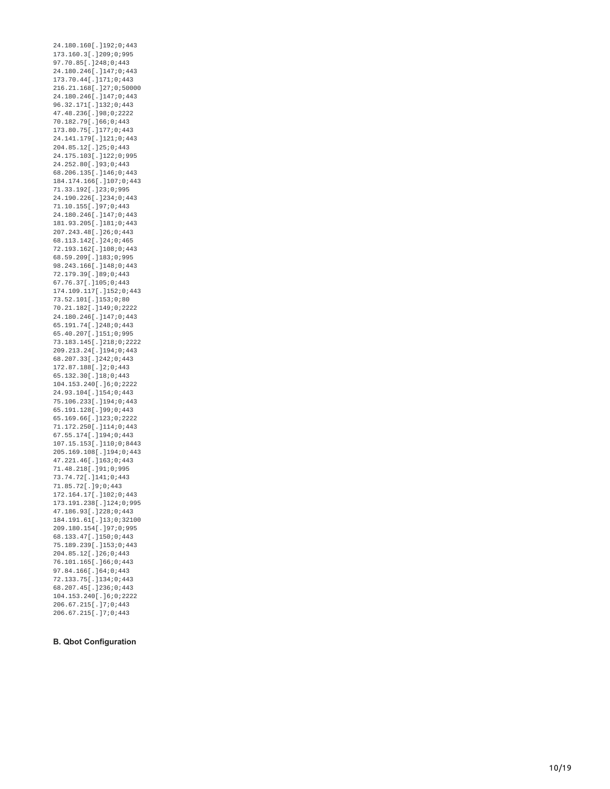24.180.160[.]192;0;443 1 7 3.1 6 0.3 [.] 2 0 9 ; 0 ; 9 9 5 9 7.7 0.8 5 [.] 2 4 8 ; 0 ; 4 4 3 24.180.246[.]147;0;443 173.70.44[.]171;0;443 216.21.168[.]27;0;50000 24.180.246[.]147;0;443 96.32.171[.]132;0;443 47.48.236[.]98;0;2222 70.182.79[.]66;0;443 173.80.75[.]177;0;443 24.141.179[.]121;0;443 204.85.12[.]25;0;443 24.175.103[.]122;0;995 24.252.80[.]93;0;443 68.206.135[.]146;0;443 184.174.166[.]107;0;443 7 1.3 3.1 9 2 [.] 2 3 ; 0 ; 9 9 5 24.190.226[.]234;0;443 71.10.155[.]97;0;443 24.180.246[.]147;0;443 181.93.205[.]181;0;443 207.243.48[.]26;0;443 6 8.1 1 3.1 4 2 [.] 2 4 ; 0 ; 4 6 5 72.193.162[.]108;0;443 68.59.209[.]183;0;995 98.243.166[.]148;0;443 7 2.1 7 9.3 9 [.] 8 9 ; 0 ; 4 4 3 67.76.37[.]105;0;443 174.109.117[.]152;0;443 7 3.5 2.1 0 1 [.] 1 5 3 ; 0 ; 8 0 70.21.182[.]149;0;2222 24.180.246[.]147;0;443 6 5.1 9 1.7 4 [.] 2 4 8 ; 0 ; 4 4 3 65.40.207[.]151;0;995 73.183.145[.]218;0;2222 209.213.24[.]194;0;443 68.207.33[.]242;0;443 172.87.188[.]2;0;443 6 5.1 3 2.3 0 [.] 1 8 ; 0 ; 4 4 3 104.153.240[.]6;0;2222 24.93.104[.]154;0;443 75.106.233[.]194;0;443 65.191.128[.]99;0;443 65.169.66[.]123;0;2222 71.172.250[.]114;0;443 67.55.174[.]194;0;443 107.15.153[.]110;0;8443 205.169.108[.]194;0;443 47.221.46[.]163;0;443 7 1.4 8.2 1 8 [.] 9 1 ; 0 ; 9 9 5 7 3.7 4.7 2 [.] 1 4 1 ; 0 ; 4 4 3 7 1.8 5.7 2 [.] 9 ; 0 ; 4 4 3 172.164.17[.]102;0;443 173.191.238[.]124;0;995 4 7.1 8 6.9 3 [.] 2 2 8 ; 0 ; 4 4 3 184.191.61[.]13;0;32100 209.180.154[.]97;0;995 6 8.1 3 3.4 7 [.] 1 5 0 ; 0 ; 4 4 3 75.189.239[.]153;0;443 204.85.12[.]26;0;443 76.101.165[.]66;0;443 97.84.166[.]64;0;443 7 2.1 3 3.7 5 [.] 1 3 4 ; 0 ; 4 4 3 68.207.45[.]236;0;443 104.153.240[.]6;0;2222 206.67.215[.]7;0;443 206.67.215[.]7;0;443

## **B. Qbot Configuration**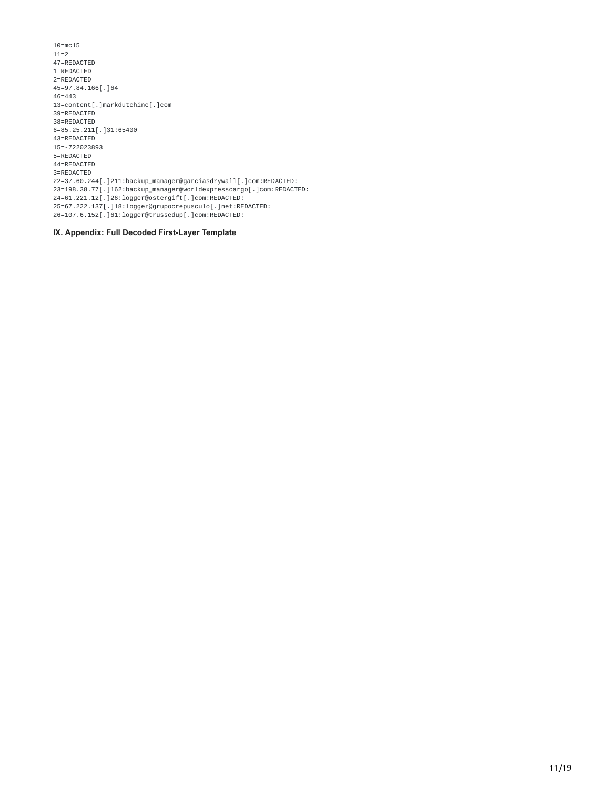10=mc15 11=2 47=REDACTED 1=REDACTED 2=REDACTED 45=97.84.166[.]64 46=443 13=content[.]markdutchinc[.]com 39=REDACTED 38=REDACTED 6=85.25.211[.]31:65400 43=REDACTED 15=-722023893 5=REDACTED 44=REDACTED 3=REDACTED 22=37.60.244[.]211:backup\_manager@garciasdrywall[.]com:REDACTED: 23=198.38.77[.]162:backup\_manager@worldexpresscargo[.]com:REDACTED: 24=61.221.12[.]26:logger@ostergift[.]com:REDACTED: 25=67.222.137[.]18:logger@grupocrepusculo[.]net:REDACTED: 26=107.6.152[.]61:logger@trussedup[.]com:REDACTED:

**IX. Appendix: Full Decoded First-Layer Template**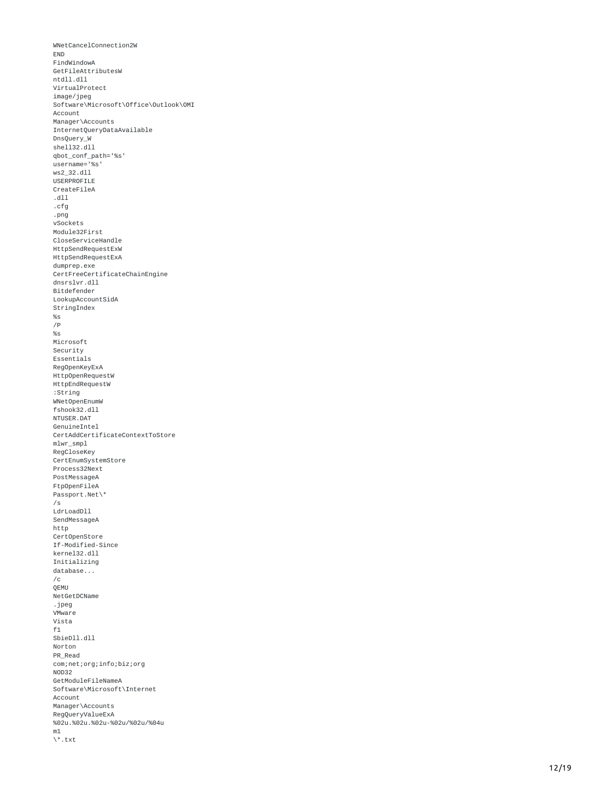```
WNetCancelConnection2W
E
N
D
FindWindowA
GetFileAttributesW
ntdll.dll
VirtualProtect
i
m
a
g
e
/
j
p
e
g
Software\Microsoft\Office\Outlook\OMI
Account
Manager\Accounts
InternetQueryDataAvailable
DnsQuery_W
shell32.dll
qbot_conf_path='%s'
username='%s' ws2_32.dll USERPROFILE CreateFileA .dll .cfg .png vSockets Module32First CloseServiceHandle HttpSendRequestExW HttpSendRequestExA dumprep.exe CertFreeCertificateChainEngine
dnsrslvr.dll
Bitdefender
LookupAccountSidA
StringIndex
%
s
/
P
%
s
Microsoft
Security
Essentials
RegOpenKeyExA
HttpOpenRequestW
HttpEndRequestW
:String WNetOpenEnumW fshook32.dll NTUSER.DAT GenuineIntel CertAddCertificateContextToStore
mlwr_smpl
RegCloseKey
CertEnumSystemStore
Process32Next
PostMessageA
FtpOpenFileA
Passport.Net\*
/
s
LdrLoadDll
SendMessageA
http
CertOpenStore
If-Modified-Since
kernel32.dll
Initializing
database...
/c<br>QEMU
NetGetDCNam
e .jpeg VMware Vista f1<br>SbieDll.dll
Norton PR_Read com;net;org;info;biz;org
N
O
D
3
2
GetModuleFileNameA
Software\Microsoft\Internet
Account
Manager\Accounts
RegQueryValueExA
%02u.%02u.%02u-%02u/%02u/%04u
m
1
\
*.t
x
t
```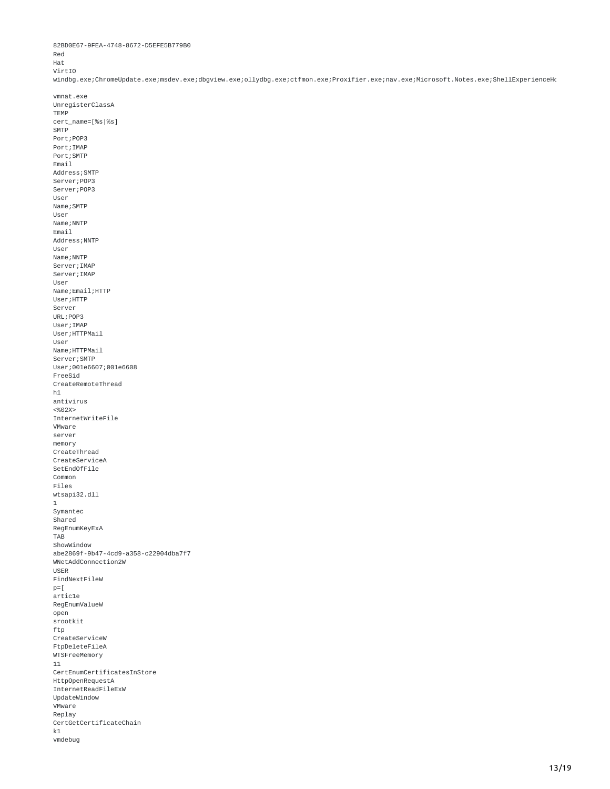Red Hat VirtIO windbg.exe;ChromeUpdate.exe;msdev.exe;dbgview.exe;ollydbg.exe;ctfmon.exe;Proxifier.exe;nav.exe;Microsoft.Notes.exe;ShellExperienceHo vmnat.exe UnregisterClassA TEMP cert\_name=[%s|%s] **SMTP** Port;POP3 Port;IMAP Port;SMTP Email Address;SMTP Server;POP3 Server;POP3 User Name; SMTP User Name; NNTP Email Address;NNTP User Name; NNTP Server;IMAP Server;IMAP User Name;Email;HTTP User; HTTP Server URL;POP3 User;IMAP User; HTTPMail User Name; HTTPMail Server;SMTP User;001e6607;001e6608 FreeSid CreateRemoteThread  $h1$ antivirus <%02X> InternetWriteFile VMware server memory CreateThread CreateServiceA SetEndOfFile Common Files wtsapi32.dll 1 Symantec Shared RegEnumKeyExA TAB ShowWindow abe2869f-9b47-4cd9-a358-c22904dba7f7 WNetAddConnection2W USER FindNextFileW  $p =$ [ artic1e RegEnumValueW open srootkit ftp CreateServiceW FtpDeleteFileA WTSFreeMemory 11 CertEnumCertificatesInStore HttpOpenRequestA InternetReadFileExW UpdateWindow VMware Replay CertGetCertificateChain

```
k1vmdebug
```
82BD0E67-9FEA-4748-8672-D5EFE5B779B0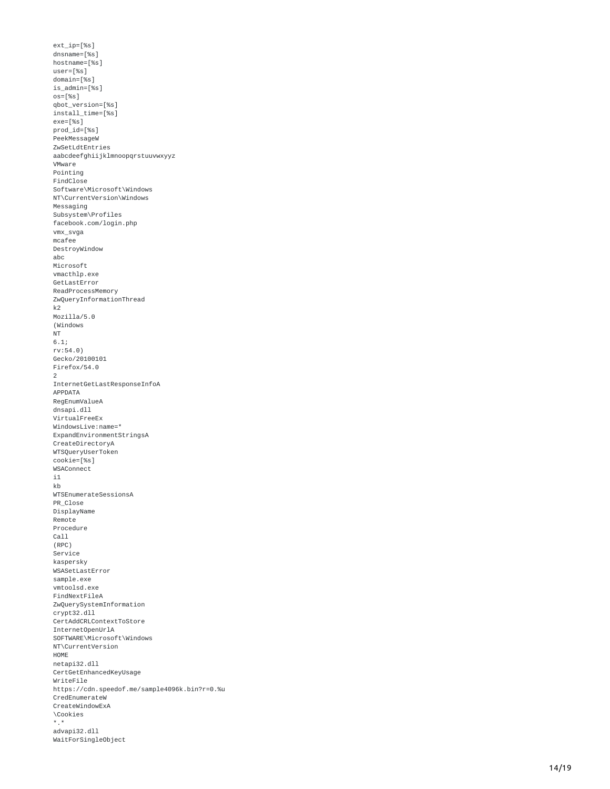```
ext_ip=[%s]
dnsname=[%s]
hostname=[%s]
user=[%s]
domain=[%s]
is_admin=[%s]
os=[%s]
qbot_version=[%s]
install_time=[%s]
exe=[%s]
prod_id=[%s]
PeekMessageW
ZwSetLdtEntries
aabcdeefghiijklmnoopqrstuuvwxyyz
V
M
w
a
r
e
Pointing
F
i
n
d
C
l
o
s
e
Software\Microsoft\Windows
NT\CurrentVersion\Windows
Messaging
Subsystem\Profiles
f
a
c
e
b
o
o
k.c
o
m
/
l
o
g
i
n.p
h
p
vmx_svga
m
c
a
f
e
e
DestroyWindow
a
b
c
Microsoft
vmacthlp.exe
GetLastError
ReadProcessMemory
ZwQueryInformationThread
k
2
M
o
z
i
l
l
a
/
5.0
(Windows
N
T
6.1
;
r
v:5
4.0
)
Gecko/20100101
F
i
r
e
f
o
x
/
5
4.0
2<br>InternetGetLastResponseInfoA
APPDATA
RegEnumValueA
dnsapi.dll
VirtualFreeEx
WindowsLive:name=*
ExpandEnvironmentStringsA
CreateDirectoryA
WTSQueryUserToken
cookie=[%s]
wSAConnect
i
1
k
b
WTSEnumerateSessionsA
PR_Close
DisplayName
Remote
Procedure
C
a
l
l
(
R
P
C
)
Service
kaspersky
WSASetLastError
s
a
m
p
l
e.e
x
e
vmtoolsd.exe
FindNextFileA
ZwQuerySystemInformation
crypt32.dll
CertAddCRLContextToStore
InternetOpenUrlA
SOFTWARE\Microsoft\Windows
NT\CurrentVersion
H
O
M
E
netapi32.dll
CertGetEnhancedKeyUsage
WriteFile
https://cdn.speedof.me/sample4096k.bin?r=0.%u
CredEnumerateW
CreateWindowExA
\
C
o
o
k
i
e
s
*.* advapi32.dll
WaitForSingleObject
```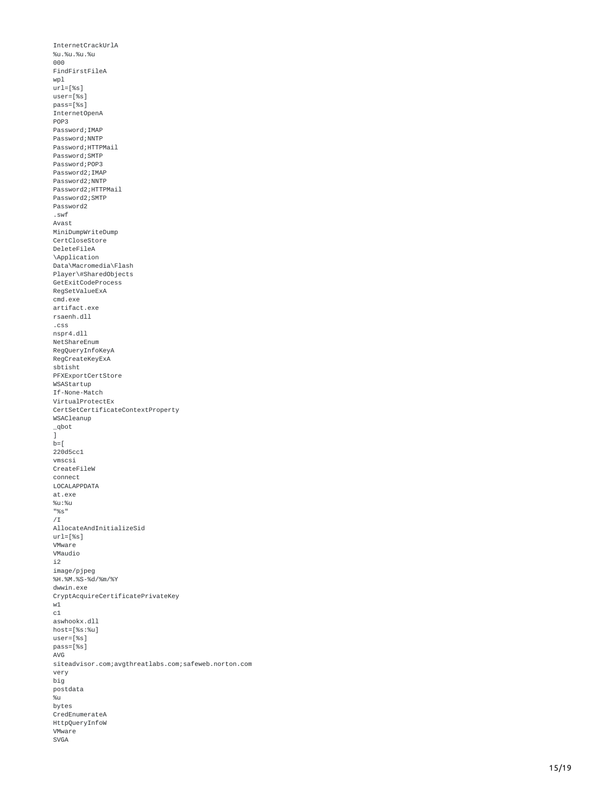```
InternetCrackUrlA
%
u.%
u.%
u.%
u
0
0
0
FindFirstFileA
w
p
l
url=[%s]
user=[%s]
pass=[%s]
InternetOpenA
P
O
P
3
Password;IMAP
Password;NNTP
Password;HTTPMail
Password;SMTP
Password;POP3
Password2;IMAP
Password2;NNTP
Password2;HTTPMail
Password2;SMTP
P
a
s
s
w
o
r
d
2 .swf Avast MiniDumpWriteDump
CertCloseStore
DeleteFileA
\Application
Data\Macromedia\Flash
Player\#SharedObjects
GetExitCodeProcess
RegSetValueExA
c
m
d.e
x
e
artifact.exe
rsaenh.dll
.css nspr4.dll NetShareEn
u
m
RegQueryInfoKeyA
RegCreateKeyExA
sbtisht
PFXExportCertStore
WSAStartup
If-None-Match
VirtualProtectEx
CertSetCertificateContextProperty
wSACleanup
_
q
b
o
t
]<br>b=[
220d5cc1
vmscsi
CreateFileW
connect
LOCALAPPDATA
a
t.e
x
e
%
u:%
u
"
%
s
"
/
I
AllocateAndInitializeSid
url=[%s]
V
M
w
a
r
e
VMaudio
i
2
i
m
a
g
e
/
p
j
p
e
g
%H.%M.%S-%d/%m/%Y
dwwin.exe
CryptAcquireCertificatePrivateKey
w
1
c
1
aswhookx.dll
host=[%s:%u]
user=[%s]
pass=[%s]
A
V
G
siteadvisor.com;avgthreatlabs.com;safeweb.norton.com
very
b
i
g
postdata
%
u
bytes
CredEnumerateA
HttpQueryInfoW
V
M
w
a
r
e
S
V
G
A
```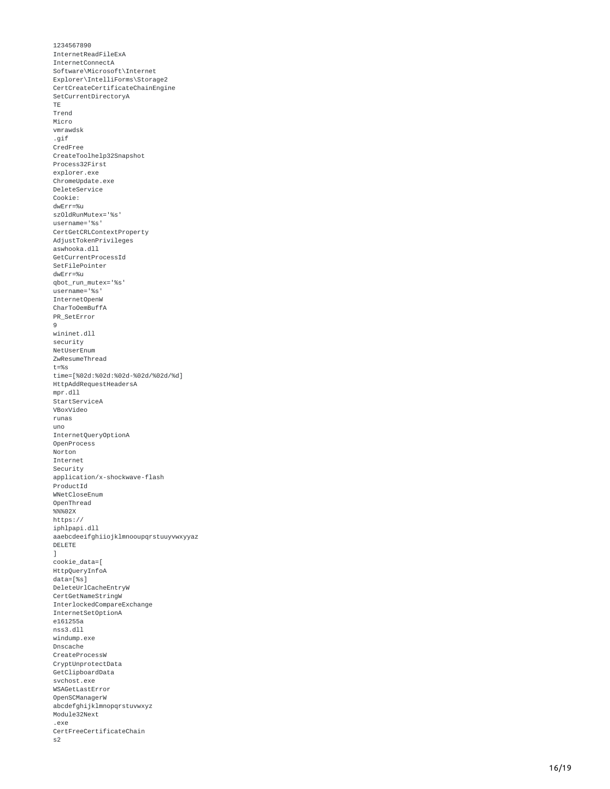1 2 3 4 5 6 7 8 9 0 InternetReadFileExA InternetConnectA Software\Microsoft\Internet Explorer\IntelliForms\Storage2 CertCreateCertificateChainEngine SetCurrentDirectoryA T E T r e n d Micro vmrawdsk .gif CredFree CreateToolhelp32Snapshot Process32First explorer.exe C h r o m e U p d a t e.e x e DeleteService Cookie: dwErr=% u szOldRunMutex='%s' username='%s' CertGetCRLContextProperty AdjustTokenPrivileges aswhooka.dll GetCurrentProcessId SetFilePointer dwErr=%u qbot\_run\_mutex='%s' username='%s' InternetOpenW CharToOemBuffA PR\_SetError 9<br>wininet.dll security NetUserEnum ZwResumeThread t=%s time=[%02d:%02d:%02d-%02d/%02d/%d] HttpAddRequestHeadersA mpr.dll StartServiceA VBoxVideo r u n a s u n o InternetQueryOptionA OpenProcess Norton Internet Security application/x-shockwave-flash ProductId WNetCloseEnum 0penThread %%% 0 2 X https:// iphlpapi.dll aaebcdeeifghiiojklmnooupqrstuuyvwxyyaz DELETE ]<br>cookie\_data=[ HttpQueryInfoA data=[%s] DeleteUrlCacheEntryW CertGetNameStringW InterlockedCompareExchange InternetSetOptionA e161255a nss3.dll windump.exe Dnscache CreateProcessW CryptUnprotectData GetClipboardData svchost.exe WSAGetLastError 0penSCManagerW abcdefghijklmnopqrstuvwxyz <code>Module32Next</code> .exe CertFreeCertificateChain s 2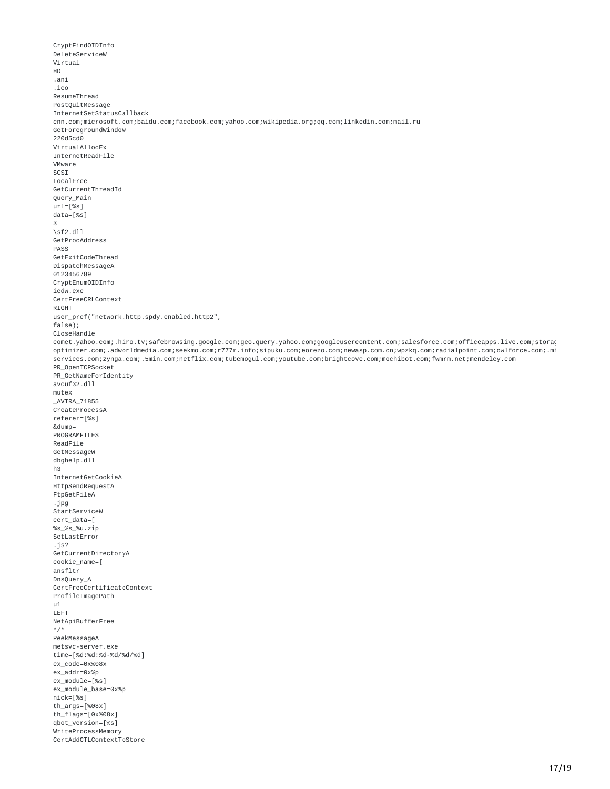```
CryptFindOIDInfo
DeleteServiceW
Virtual
HD
.ani
.ico
ResumeThread
PostQuitMessage
InternetSetStatusCallback
cnn.com;microsoft.com;baidu.com;facebook.com;yahoo.com;wikipedia.org;qq.com;linkedin.com;mail.ru
GetForegroundWindow
220d5cd0
VirtualAllocEx
InternetReadFile
VMware
SCSI
LocalFree
GetCurrentThreadId
Query_Main
ur1 = [%s1]data=[%s]
3
\sqrt{5f2.dl}GetProcAddress
PASS
GetExitCodeThread
DispatchMessageA
0123456789
CryptEnumOIDInfo
iedw.exe
CertFreeCRLContext
RIGHT
user_pref("network.http.spdy.enabled.http2",
false);
CloseHandle
comet.yahoo.com;.hiro.tv;safebrowsing.google.com;geo.query.yahoo.com;googleusercontent.com;salesforce.com;officeapps.live.com;storag
optimizer.com;.adworldmedia.com;seekmo.com;r777r.info;sipuku.com;eorezo.com;newasp.com.cn;wpzkq.com;radialpoint.com;owlforce.com;.mi
services.com;zynga.com;.5min.com;netflix.com;tubemogul.com;youtube.com;brightcove.com;mochibot.com;fwmrm.net;mendeley.com
PR_OpenTCPSocket
PR_GetNameForIdentity
avcuf32.dll
mutex
_AVIRA_71855
CreateProcessA
referer=[%s]
&dump=
PROGRAMFILES
ReadFile
GetMessageW
dbghelp.dll
h3
InternetGetCookieA
HttpSendRequestA
FtpGetFileA
.jpg
StartServiceW
cert_data=[
%s_%s_%u.zip
SetLastError
.js?
GetCurrentDirectoryA
cookie_name=[
ansfltr
DnsQuery_A
CertFreeCertificateContext
ProfileImagePath
u1
LEFT
NetApiBufferFree
*/*
PeekMessageA
metsvc-server.exe
time=[%d:%d:%d-%d/%d/%d]
ex_code=0x%08x
ex_addr=0x%p
ex_module=[%s]
ex_module_base=0x%p
nick=[%s]
th\_args=[%08x]th_flags=[0x%08x]
qbot_version=[%s]
WriteProcessMemory
CertAddCTLContextToStore
```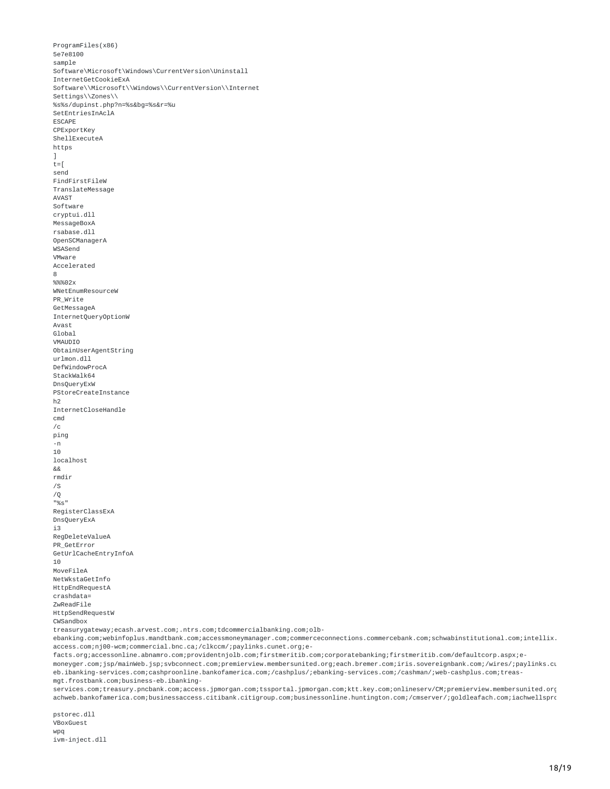```
ProgramFiles(x86)
5e7e8100
sample
Software\Microsoft\Windows\CurrentVersion\Uninstall
InternetGetCookieExA
Software\\Microsoft\\Windows\\CurrentVersion\\Internet
Settings\\Zones\\
%s%s/dupinst.php?n=%s&bg=%s&r=%u
SetEntriesInAclA
ESCAPE
CPExportKey
ShellExecuteA
https
]
t =[
send
FindFirstFileW
TranslateMessage
AVAST
Software
cryptui.dll
MessageBoxA
rsabase.dll
OpenSCManagerA
WSASend
VMware
Accelerated
8
%%%02x
WNetEnumResourceW
PR_Write
GetMessageA
InternetQueryOptionW
Avast
Global
VMAUDIO
ObtainUserAgentString
urlmon.dll
DefWindowProcA
StackWalk64
DnsQueryExW
PStoreCreateInstance
h2
InternetCloseHandle
cmd
/cping
-n
10
localhost
&&
rmdir
//Q
"%s"
RegisterClassExA
DnsQueryExA
i3
RegDeleteValueA
PR GetError
GetUrlCacheEntryInfoA
10
MoveFileA
NetWkstaGetInfo
HttpEndRequestA
crashdata=
ZwReadFile
HttpSendRequestW
CWSandbox
treasurygateway;ecash.arvest.com;.ntrs.com;tdcommercialbanking.com;olb-
ebanking.com;webinfoplus.mandtbank.com;accessmoneymanager.com;commerceconnections.commercebank.com;schwabinstitutional.com;intellix.
access.com;nj00-wcm;commercial.bnc.ca;/clkccm/;paylinks.cunet.org;e-
```
facts.org;accessonline.abnamro.com;providentnjolb.com;firstmeritib.com;corporatebanking;firstmeritib.com/defaultcorp.aspx;emoneyger.com;jsp/mainWeb.jsp;svbconnect.com;premierview.membersunited.org;each.bremer.com;iris.sovereignbank.com;/wires/;paylinks.cu eb.ibanking-services.com;cashproonline.bankofamerica.com;/cashplus/;ebanking-services.com;/cashman/;web-cashplus.com;treasmgt.frostbank.com;business-eb.ibanking-

services.com;treasury.pncbank.com;access.jpmorgan.com;tssportal.jpmorgan.com;ktt.key.com;onlineserv/CM;premierview.membersunited.org achweb.bankofamerica.com;businessaccess.citibank.citigroup.com;businessonline.huntington.com;/cmserver/;goldleafach.com;iachwellspro

pstorec.dll VBoxGuest wpq ivm-inject.dll